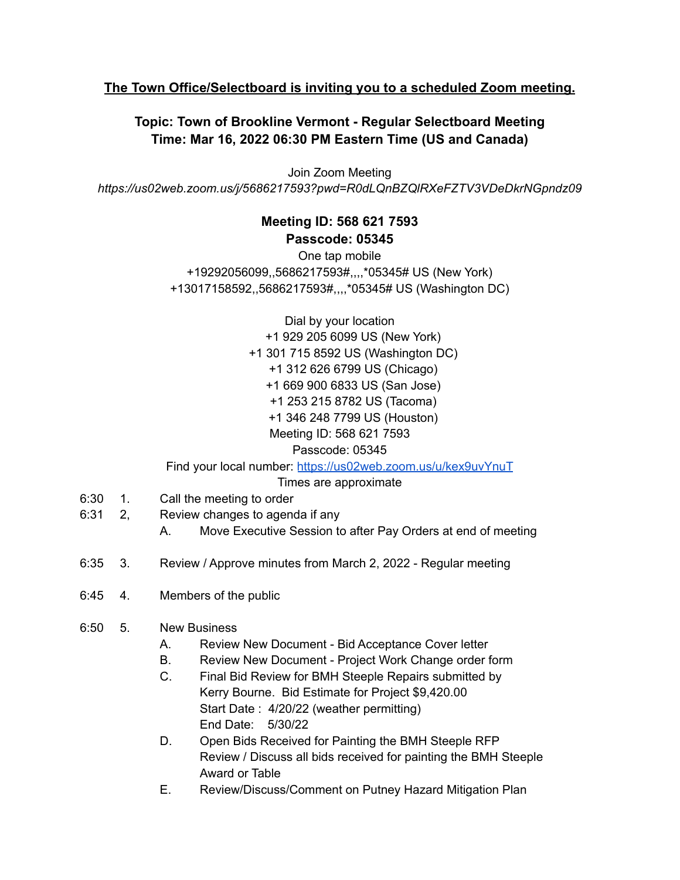## **The Town Office/Selectboard is inviting you to a scheduled Zoom meeting.**

## **Topic: Town of Brookline Vermont - Regular Selectboard Meeting Time: Mar 16, 2022 06:30 PM Eastern Time (US and Canada)**

Join Zoom Meeting *https://us02web.zoom.us/j/5686217593?pwd=R0dLQnBZQlRXeFZTV3VDeDkrNGpndz09*

## **Meeting ID: 568 621 7593 Passcode: 05345**

One tap mobile +19292056099,,5686217593#,,,,\*05345# US (New York) +13017158592,,5686217593#,,,,\*05345# US (Washington DC)

> Dial by your location +1 929 205 6099 US (New York) +1 301 715 8592 US (Washington DC) +1 312 626 6799 US (Chicago) +1 669 900 6833 US (San Jose) +1 253 215 8782 US (Tacoma) +1 346 248 7799 US (Houston) Meeting ID: 568 621 7593 Passcode: 05345

Find your local number: <https://us02web.zoom.us/u/kex9uvYnuT>

Times are approximate

- 6:30 1. Call the meeting to order
- 6:31 2, Review changes to agenda if any
	- A. Move Executive Session to after Pay Orders at end of meeting
- 6:35 3. Review / Approve minutes from March 2, 2022 Regular meeting
- 6:45 4. Members of the public
- 6:50 5. New Business
	- A. Review New Document Bid Acceptance Cover letter
	- B. Review New Document Project Work Change order form
	- C. Final Bid Review for BMH Steeple Repairs submitted by Kerry Bourne. Bid Estimate for Project \$9,420.00 Start Date : 4/20/22 (weather permitting) End Date: 5/30/22
	- D. Open Bids Received for Painting the BMH Steeple RFP Review / Discuss all bids received for painting the BMH Steeple Award or Table
	- E. Review/Discuss/Comment on Putney Hazard Mitigation Plan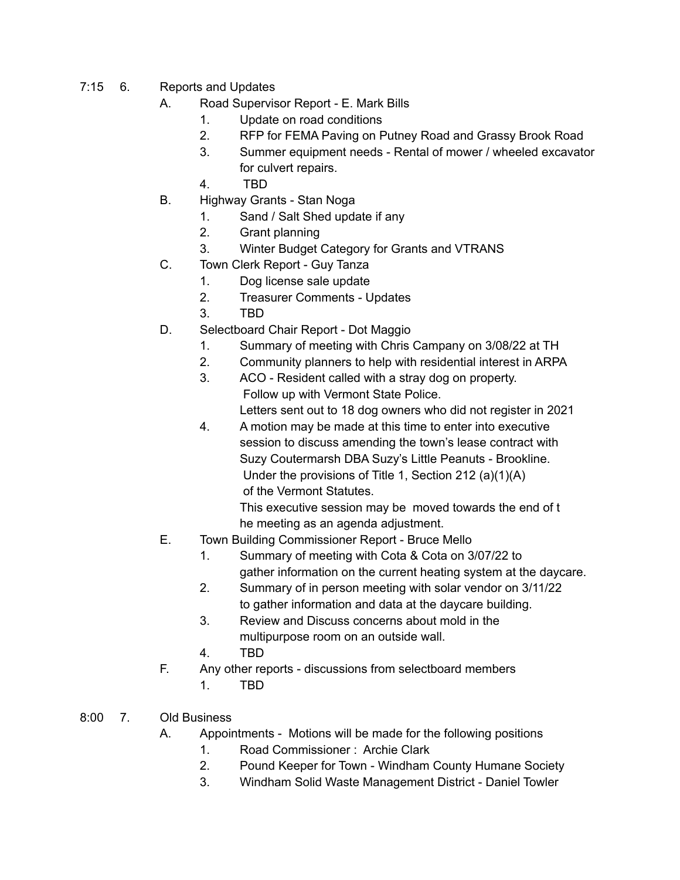- 7:15 6. Reports and Updates
	- A. Road Supervisor Report E. Mark Bills
		- 1. Update on road conditions
		- 2. RFP for FEMA Paving on Putney Road and Grassy Brook Road
		- 3. Summer equipment needs Rental of mower / wheeled excavator for culvert repairs.
		- 4. TBD
	- B. Highway Grants Stan Noga
		- 1. Sand / Salt Shed update if any
		- 2. Grant planning
		- 3. Winter Budget Category for Grants and VTRANS
	- C. Town Clerk Report Guy Tanza
		- 1. Dog license sale update
		- 2. Treasurer Comments Updates
		- 3. TBD
	- D. Selectboard Chair Report Dot Maggio
		- 1. Summary of meeting with Chris Campany on 3/08/22 at TH
		- 2. Community planners to help with residential interest in ARPA
		- 3. ACO Resident called with a stray dog on property. Follow up with Vermont State Police.

Letters sent out to 18 dog owners who did not register in 2021

4. A motion may be made at this time to enter into executive session to discuss amending the town's lease contract with Suzy Coutermarsh DBA Suzy's Little Peanuts - Brookline. Under the provisions of Title 1, Section 212 (a)(1)(A) of the Vermont Statutes.

This executive session may be moved towards the end of t he meeting as an agenda adjustment.

- E. Town Building Commissioner Report Bruce Mello
	- 1. Summary of meeting with Cota & Cota on 3/07/22 to gather information on the current heating system at the daycare.
	- 2. Summary of in person meeting with solar vendor on 3/11/22 to gather information and data at the daycare building.
	- 3. Review and Discuss concerns about mold in the multipurpose room on an outside wall.
	- 4. TBD
- F. Any other reports discussions from selectboard members 1. TBD
- 8:00 7. Old Business
	- A. Appointments Motions will be made for the following positions
		- 1. Road Commissioner : Archie Clark
		- 2. Pound Keeper for Town Windham County Humane Society
		- 3. Windham Solid Waste Management District Daniel Towler